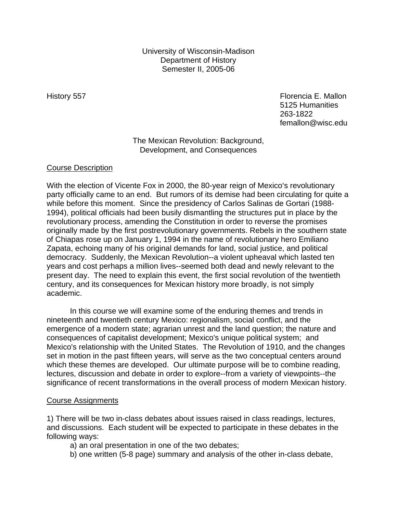University of Wisconsin-Madison Department of History Semester II, 2005-06

History 557 **Florencia E. Mallon** 5125 Humanities 263-1822 femallon@wisc.edu

### The Mexican Revolution: Background, Development, and Consequences

### Course Description

With the election of Vicente Fox in 2000, the 80-year reign of Mexico's revolutionary party officially came to an end. But rumors of its demise had been circulating for quite a while before this moment. Since the presidency of Carlos Salinas de Gortari (1988- 1994), political officials had been busily dismantling the structures put in place by the revolutionary process, amending the Constitution in order to reverse the promises originally made by the first postrevolutionary governments. Rebels in the southern state of Chiapas rose up on January 1, 1994 in the name of revolutionary hero Emiliano Zapata, echoing many of his original demands for land, social justice, and political democracy. Suddenly, the Mexican Revolution--a violent upheaval which lasted ten years and cost perhaps a million lives--seemed both dead and newly relevant to the present day. The need to explain this event, the first social revolution of the twentieth century, and its consequences for Mexican history more broadly, is not simply academic.

In this course we will examine some of the enduring themes and trends in nineteenth and twentieth century Mexico: regionalism, social conflict, and the emergence of a modern state; agrarian unrest and the land question; the nature and consequences of capitalist development; Mexico's unique political system; and Mexico's relationship with the United States. The Revolution of 1910, and the changes set in motion in the past fifteen years, will serve as the two conceptual centers around which these themes are developed. Our ultimate purpose will be to combine reading, lectures, discussion and debate in order to explore--from a variety of viewpoints--the significance of recent transformations in the overall process of modern Mexican history.

#### Course Assignments

1) There will be two in-class debates about issues raised in class readings, lectures, and discussions. Each student will be expected to participate in these debates in the following ways:

- a) an oral presentation in one of the two debates;
- b) one written (5-8 page) summary and analysis of the other in-class debate,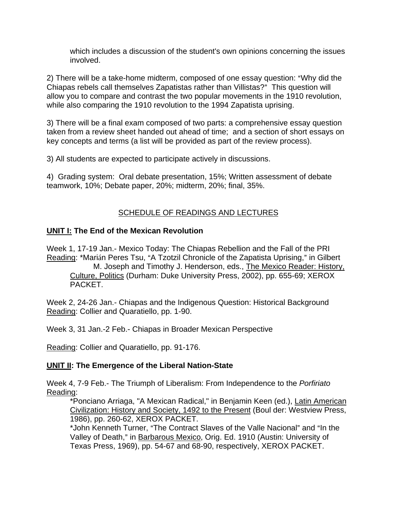which includes a discussion of the student's own opinions concerning the issues involved.

2) There will be a take-home midterm, composed of one essay question: "Why did the Chiapas rebels call themselves Zapatistas rather than Villistas?" This question will allow you to compare and contrast the two popular movements in the 1910 revolution, while also comparing the 1910 revolution to the 1994 Zapatista uprising.

3) There will be a final exam composed of two parts: a comprehensive essay question taken from a review sheet handed out ahead of time; and a section of short essays on key concepts and terms (a list will be provided as part of the review process).

3) All students are expected to participate actively in discussions.

4) Grading system: Oral debate presentation, 15%; Written assessment of debate teamwork, 10%; Debate paper, 20%; midterm, 20%; final, 35%.

## SCHEDULE OF READINGS AND LECTURES

## **UNIT I: The End of the Mexican Revolution**

Week 1, 17-19 Jan.- Mexico Today: The Chiapas Rebellion and the Fall of the PRI Reading: \*Marián Peres Tsu, "A Tzotzil Chronicle of the Zapatista Uprising," in Gilbert M. Joseph and Timothy J. Henderson, eds., The Mexico Reader: History, Culture, Politics (Durham: Duke University Press, 2002), pp. 655-69; XEROX PACKET.

Week 2, 24-26 Jan.- Chiapas and the Indigenous Question: Historical Background Reading: Collier and Quaratiello, pp. 1-90.

Week 3, 31 Jan.-2 Feb.- Chiapas in Broader Mexican Perspective

Reading: Collier and Quaratiello, pp. 91-176.

### **UNIT II: The Emergence of the Liberal Nation-State**

Week 4, 7-9 Feb.- The Triumph of Liberalism: From Independence to the *Porfiriato* Reading:

\*Ponciano Arriaga, "A Mexican Radical," in Benjamin Keen (ed.), Latin American Civilization: History and Society, 1492 to the Present (Boul der: Westview Press, 1986), pp. 260-62, XEROX PACKET.

\*John Kenneth Turner, "The Contract Slaves of the Valle Nacional" and "In the Valley of Death," in Barbarous Mexico, Orig. Ed. 1910 (Austin: University of Texas Press, 1969), pp. 54-67 and 68-90, respectively, XEROX PACKET.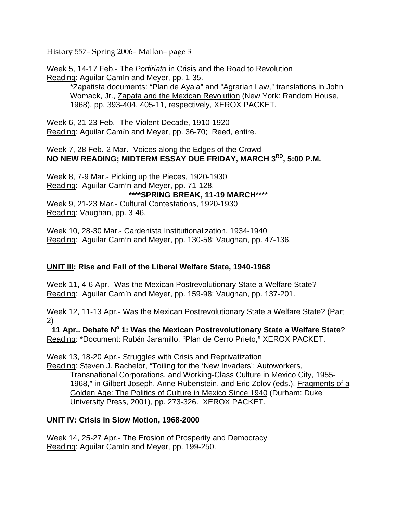History 557- Spring 2006- Mallon- page 3

Week 5, 14-17 Feb.- The *Porfiriato* in Crisis and the Road to Revolution Reading: Aguilar Camín and Meyer, pp. 1-35.

\*Zapatista documents: "Plan de Ayala" and "Agrarian Law," translations in John Womack, Jr., Zapata and the Mexican Revolution (New York: Random House, 1968), pp. 393-404, 405-11, respectively, XEROX PACKET.

Week 6, 21-23 Feb.- The Violent Decade, 1910-1920 Reading: Aguilar Camín and Meyer, pp. 36-70; Reed, entire.

Week 7, 28 Feb.-2 Mar.- Voices along the Edges of the Crowd **NO NEW READING; MIDTERM ESSAY DUE FRIDAY, MARCH 3RD, 5:00 P.M.**

Week 8, 7-9 Mar.- Picking up the Pieces, 1920-1930 Reading: Aguilar Camín and Meyer, pp. 71-128. **\*\*\*\*SPRING BREAK, 11-19 MARCH**\*\*\*\* Week 9, 21-23 Mar.- Cultural Contestations, 1920-1930 Reading: Vaughan, pp. 3-46.

Week 10, 28-30 Mar.- Cardenista Institutionalization, 1934-1940 Reading: Aguilar Camín and Meyer, pp. 130-58; Vaughan, pp. 47-136.

# **UNIT III: Rise and Fall of the Liberal Welfare State, 1940-1968**

Week 11, 4-6 Apr.- Was the Mexican Postrevolutionary State a Welfare State? Reading: Aguilar Camín and Meyer, pp. 159-98; Vaughan, pp. 137-201.

Week 12, 11-13 Apr.- Was the Mexican Postrevolutionary State a Welfare State? (Part 2)

**11 Apr.. Debate N° 1: Was the Mexican Postrevolutionary State a Welfare State?** Reading: \*Document: Rubén Jaramillo, "Plan de Cerro Prieto," XEROX PACKET.

Week 13, 18-20 Apr.- Struggles with Crisis and Reprivatization

Reading: Steven J. Bachelor, "Toiling for the 'New Invaders': Autoworkers,

Transnational Corporations, and Working-Class Culture in Mexico City, 1955- 1968," in Gilbert Joseph, Anne Rubenstein, and Eric Zolov (eds.), Fragments of a Golden Age: The Politics of Culture in Mexico Since 1940 (Durham: Duke University Press, 2001), pp. 273-326. XEROX PACKET.

### **UNIT IV: Crisis in Slow Motion, 1968-2000**

Week 14, 25-27 Apr.- The Erosion of Prosperity and Democracy Reading: Aguilar Camín and Meyer, pp. 199-250.